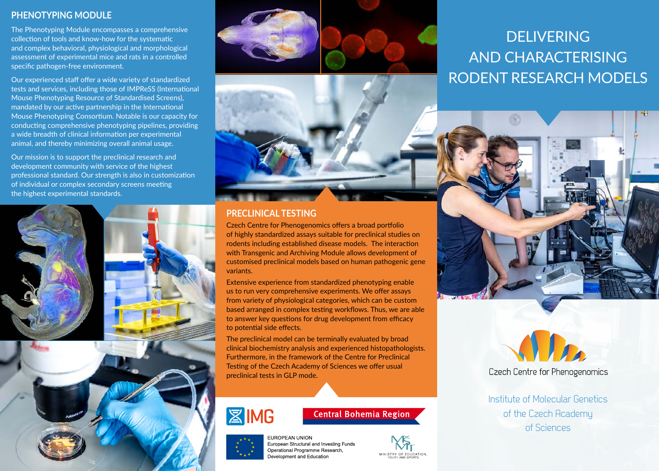## **PHENOTYPING MODULE**

The Phenotyping Module encompasses a comprehensive collection of tools and know-how for the systematic and complex behavioral, physiological and morphological assessment of experimental mice and rats in a controlled specific pathogen-free environment.

Our experienced staff offer a wide variety of standardized tests and services, including those of IMPReSS (International Mouse Phenotyping Resource of Standardised Screens), mandated by our active partnership in the International Mouse Phenotyping Consortium. Notable is our capacity for conducting comprehensive phenotyping pipelines, providing a wide breadth of clinical information per experimental animal, and thereby minimizing overall animal usage.

Our mission is to support the preclinical research and development community with service of the highest professional standard. Our strength is also in customization of individual or complex secondary screens meeting the highest experimental standards.







## **PRECLINICAL TESTING**

Czech Centre for Phenogenomics offers a broad portfolio of highly standardized assays suitable for preclinical studies on rodents including established disease models. The interaction with Transgenic and Archiving Module allows development of customised preclinical models based on human pathogenic gene variants.

Extensive experience from standardized phenotyping enable us to run very comprehensive experiments. We offer assays from variety of physiological categories, which can be custom based arranged in complex testing workflows. Thus, we are able to answer key questions for drug development from efficacy to potential side effects.

The preclinical model can be terminally evaluated by broad clinical biochemistry analysis and experienced histopathologists. Furthermore, in the framework of the Centre for Preclinical Testing of the Czech Academy of Sciences we offer usual preclinical tests in GLP mode.



# **Central Bohemia Region**

**FUROPEAN UNION** European Structural and Investing Funds Operational Programme Research. Development and Education



# DELIVERING AND CHARACTERISING RODENT RESEARCH MODELS





Institute of Molecular Genetics of the Czech Academy of Sciences